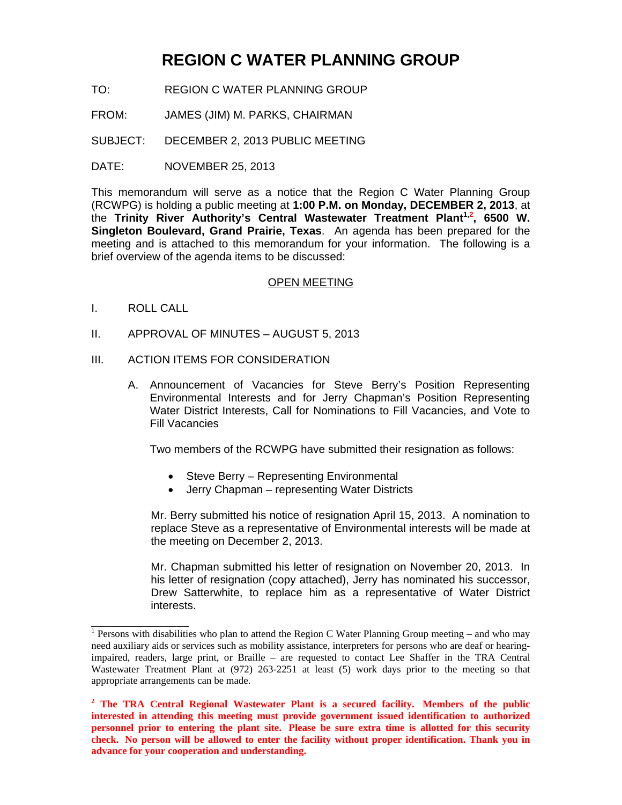# **REGION C WATER PLANNING GROUP**

- TO: REGION C WATER PLANNING GROUP
- FROM: JAMES (JIM) M. PARKS, CHAIRMAN
- SUBJECT: DECEMBER 2, 2013 PUBLIC MEETING
- DATE: NOVEMBER 25, 2013

This memorandum will serve as a notice that the Region C Water Planning Group (RCWPG) is holding a public meeting at **1:00 P.M. on Monday, DECEMBER 2, 2013**, at the **Trinity River Authority's Central Wastewater Treatment Plant1,2 , 6500 W. Singleton Boulevard, Grand Prairie, Texas**. An agenda has been prepared for the meeting and is attached to this memorandum for your information. The following is a brief overview of the agenda items to be discussed:

#### OPEN MEETING

I. ROLL CALL

 $\overline{\phantom{a}}$  , where  $\overline{\phantom{a}}$  , where  $\overline{\phantom{a}}$ 

- II. APPROVAL OF MINUTES AUGUST 5, 2013
- III. ACTION ITEMS FOR CONSIDERATION
	- A. Announcement of Vacancies for Steve Berry's Position Representing Environmental Interests and for Jerry Chapman's Position Representing Water District Interests, Call for Nominations to Fill Vacancies, and Vote to Fill Vacancies

Two members of the RCWPG have submitted their resignation as follows:

- Steve Berry Representing Environmental
- Jerry Chapman representing Water Districts

Mr. Berry submitted his notice of resignation April 15, 2013. A nomination to replace Steve as a representative of Environmental interests will be made at the meeting on December 2, 2013.

Mr. Chapman submitted his letter of resignation on November 20, 2013. In his letter of resignation (copy attached), Jerry has nominated his successor, Drew Satterwhite, to replace him as a representative of Water District interests.

<sup>&</sup>lt;sup>1</sup> Persons with disabilities who plan to attend the Region C Water Planning Group meeting – and who may need auxiliary aids or services such as mobility assistance, interpreters for persons who are deaf or hearingimpaired, readers, large print, or Braille – are requested to contact Lee Shaffer in the TRA Central Wastewater Treatment Plant at (972) 263-2251 at least (5) work days prior to the meeting so that appropriate arrangements can be made.

<sup>&</sup>lt;sup>2</sup> The TRA Central Regional Wastewater Plant is a secured facility. Members of the public **interested in attending this meeting must provide government issued identification to authorized personnel prior to entering the plant site. Please be sure extra time is allotted for this security check. No person will be allowed to enter the facility without proper identification. Thank you in advance for your cooperation and understanding.**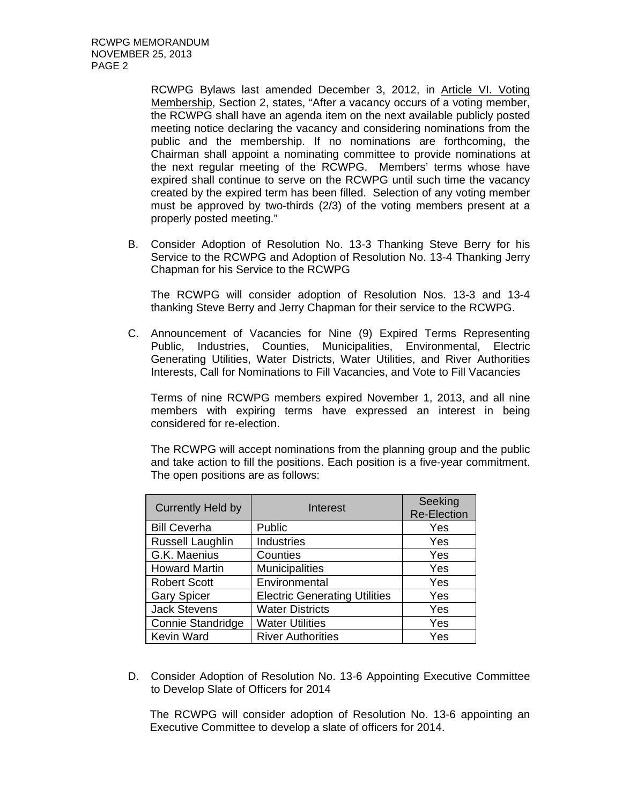RCWPG Bylaws last amended December 3, 2012, in Article VI. Voting Membership, Section 2, states, "After a vacancy occurs of a voting member, the RCWPG shall have an agenda item on the next available publicly posted meeting notice declaring the vacancy and considering nominations from the public and the membership. If no nominations are forthcoming, the Chairman shall appoint a nominating committee to provide nominations at the next regular meeting of the RCWPG. Members' terms whose have expired shall continue to serve on the RCWPG until such time the vacancy created by the expired term has been filled. Selection of any voting member must be approved by two-thirds (2/3) of the voting members present at a properly posted meeting."

B. Consider Adoption of Resolution No. 13-3 Thanking Steve Berry for his Service to the RCWPG and Adoption of Resolution No. 13-4 Thanking Jerry Chapman for his Service to the RCWPG

The RCWPG will consider adoption of Resolution Nos. 13-3 and 13-4 thanking Steve Berry and Jerry Chapman for their service to the RCWPG.

C. Announcement of Vacancies for Nine (9) Expired Terms Representing Public, Industries, Counties, Municipalities, Environmental, Electric Generating Utilities, Water Districts, Water Utilities, and River Authorities Interests, Call for Nominations to Fill Vacancies, and Vote to Fill Vacancies

Terms of nine RCWPG members expired November 1, 2013, and all nine members with expiring terms have expressed an interest in being considered for re-election.

The RCWPG will accept nominations from the planning group and the public and take action to fill the positions. Each position is a five-year commitment. The open positions are as follows:

| <b>Currently Held by</b> | Interest                             | Seeking<br><b>Re-Election</b> |
|--------------------------|--------------------------------------|-------------------------------|
| <b>Bill Ceverha</b>      | Public                               | Yes                           |
| <b>Russell Laughlin</b>  | <b>Industries</b>                    | Yes                           |
| G.K. Maenius             | Counties                             | Yes                           |
| <b>Howard Martin</b>     | <b>Municipalities</b>                | Yes                           |
| <b>Robert Scott</b>      | Environmental                        | Yes                           |
| <b>Gary Spicer</b>       | <b>Electric Generating Utilities</b> | Yes                           |
| <b>Jack Stevens</b>      | <b>Water Districts</b>               | Yes                           |
| Connie Standridge        | <b>Water Utilities</b>               | Yes                           |
| <b>Kevin Ward</b>        | <b>River Authorities</b>             | Yes                           |

D. Consider Adoption of Resolution No. 13-6 Appointing Executive Committee to Develop Slate of Officers for 2014

The RCWPG will consider adoption of Resolution No. 13-6 appointing an Executive Committee to develop a slate of officers for 2014.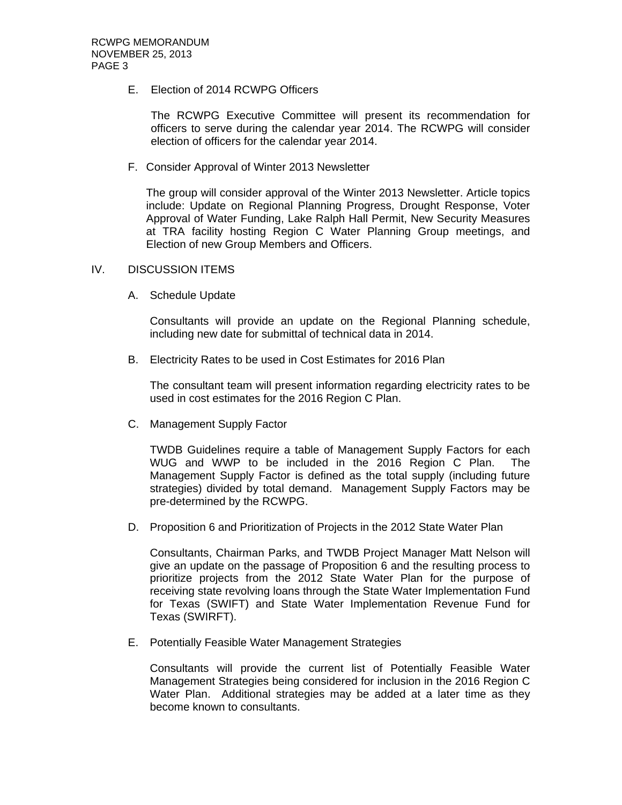## E. Election of 2014 RCWPG Officers

The RCWPG Executive Committee will present its recommendation for officers to serve during the calendar year 2014. The RCWPG will consider election of officers for the calendar year 2014.

F. Consider Approval of Winter 2013 Newsletter

The group will consider approval of the Winter 2013 Newsletter. Article topics include: Update on Regional Planning Progress, Drought Response, Voter Approval of Water Funding, Lake Ralph Hall Permit, New Security Measures at TRA facility hosting Region C Water Planning Group meetings, and Election of new Group Members and Officers.

## IV. DISCUSSION ITEMS

A. Schedule Update

Consultants will provide an update on the Regional Planning schedule, including new date for submittal of technical data in 2014.

B. Electricity Rates to be used in Cost Estimates for 2016 Plan

The consultant team will present information regarding electricity rates to be used in cost estimates for the 2016 Region C Plan.

C. Management Supply Factor

TWDB Guidelines require a table of Management Supply Factors for each WUG and WWP to be included in the 2016 Region C Plan. The Management Supply Factor is defined as the total supply (including future strategies) divided by total demand. Management Supply Factors may be pre-determined by the RCWPG.

D. Proposition 6 and Prioritization of Projects in the 2012 State Water Plan

Consultants, Chairman Parks, and TWDB Project Manager Matt Nelson will give an update on the passage of Proposition 6 and the resulting process to prioritize projects from the 2012 State Water Plan for the purpose of receiving state revolving loans through the State Water Implementation Fund for Texas (SWIFT) and State Water Implementation Revenue Fund for Texas (SWIRFT).

E. Potentially Feasible Water Management Strategies

Consultants will provide the current list of Potentially Feasible Water Management Strategies being considered for inclusion in the 2016 Region C Water Plan. Additional strategies may be added at a later time as they become known to consultants.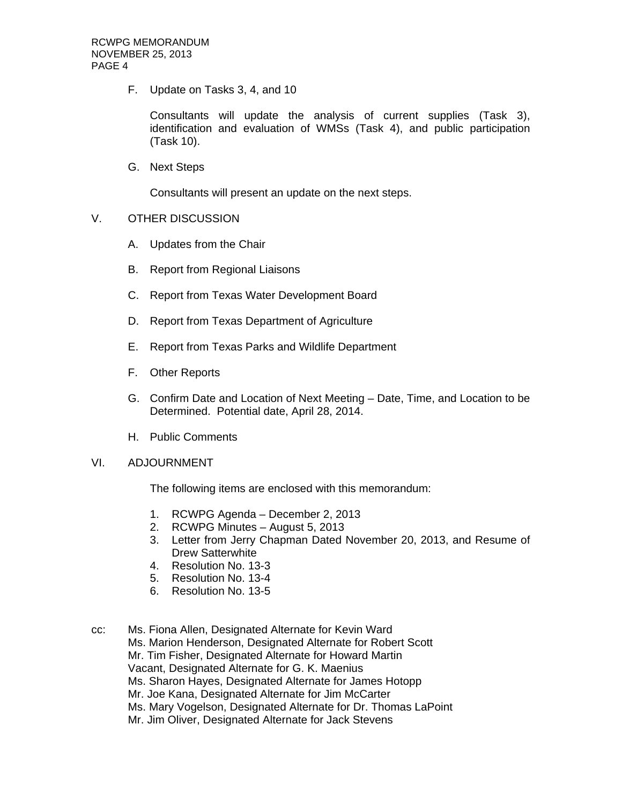F. Update on Tasks 3, 4, and 10

Consultants will update the analysis of current supplies (Task 3), identification and evaluation of WMSs (Task 4), and public participation (Task 10).

G. Next Steps

Consultants will present an update on the next steps.

- V. OTHER DISCUSSION
	- A. Updates from the Chair
	- B. Report from Regional Liaisons
	- C. Report from Texas Water Development Board
	- D. Report from Texas Department of Agriculture
	- E. Report from Texas Parks and Wildlife Department
	- F. Other Reports
	- G. Confirm Date and Location of Next Meeting Date, Time, and Location to be Determined. Potential date, April 28, 2014.
	- H. Public Comments

#### VI. ADJOURNMENT

The following items are enclosed with this memorandum:

- 1. RCWPG Agenda December 2, 2013
- 2. RCWPG Minutes August 5, 2013
- 3. Letter from Jerry Chapman Dated November 20, 2013, and Resume of Drew Satterwhite
- 4. Resolution No. 13-3
- 5. Resolution No. 13-4
- 6. Resolution No. 13-5
- cc: Ms. Fiona Allen, Designated Alternate for Kevin Ward Ms. Marion Henderson, Designated Alternate for Robert Scott Mr. Tim Fisher, Designated Alternate for Howard Martin Vacant, Designated Alternate for G. K. Maenius Ms. Sharon Hayes, Designated Alternate for James Hotopp Mr. Joe Kana, Designated Alternate for Jim McCarter Ms. Mary Vogelson, Designated Alternate for Dr. Thomas LaPoint Mr. Jim Oliver, Designated Alternate for Jack Stevens